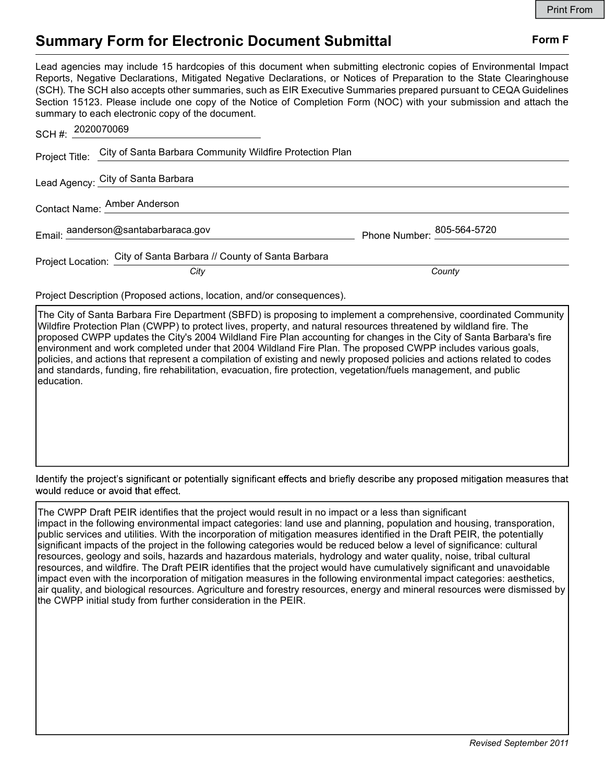## Summary Form for Electronic Document Submittal Form F

Lead agencies may include 15 hardcopies of this document when submitting electronic copies of Environmental Impact Reports, Negative Declarations, Mitigated Negative Declarations, or Notices of Preparation to the State Clearinghouse (SCH). The SCH also accepts other summaries, such as EIR Executive Summaries prepared pursuant to CEQA Guidelines Section 15123. Please include one copy of the Notice of Completion Form (NOC) with your submission and attach the summary to each electronic copy of the document.

| SCH#: 2020070069                    |                                                                         |                            |
|-------------------------------------|-------------------------------------------------------------------------|----------------------------|
|                                     | Project Title: City of Santa Barbara Community Wildfire Protection Plan |                            |
|                                     | Lead Agency: City of Santa Barbara                                      |                            |
| Contact Name: Amber Anderson        |                                                                         |                            |
| Email: aanderson@santabarbaraca.gov |                                                                         | Phone Number: 805-564-5720 |
|                                     | Project Location: City of Santa Barbara // County of Santa Barbara      |                            |
|                                     | City                                                                    | County                     |

Project Description (Proposed actions, location, and/or consequences).

The City of Santa Barbara Fire Department (SBFD) is proposing to implement a comprehensive, coordinated Community Wildfire Protection Plan (CWPP) to protect lives, property, and natural resources threatened by wildland fire. The proposed CWPP updates the City's 2004 Wildland Fire Plan accounting for changes in the City of Santa Barbara's fire environment and work completed under that 2004 Wildland Fire Plan. The proposed CWPP includes various goals, policies, and actions that represent a compilation of existing and newly proposed policies and actions related to codes and standards, funding, fire rehabilitation, evacuation, fire protection, vegetation/fuels management, and public education.

Identify the project's significant or potentially significant effects and briefly describe any proposed mitigation measures that would reduce or avoid that effect.

The CWPP Draft PEIR identifies that the project would result in no impact or a less than significant impact in the following environmental impact categories: land use and planning, population and housing, transporation, public services and utilities. With the incorporation of mitigation measures identified in the Draft PEIR, the potentially significant impacts of the project in the following categories would be reduced below a level of significance: cultural resources, geology and soils, hazards and hazardous materials, hydrology and water quality, noise, tribal cultural resources, and wildfire. The Draft PEIR identifies that the project would have cumulatively significant and unavoidable impact even with the incorporation of mitigation measures in the following environmental impact categories: aesthetics, air quality, and biological resources. Agriculture and forestry resources, energy and mineral resources were dismissed by the CWPP initial study from further consideration in the PEIR.